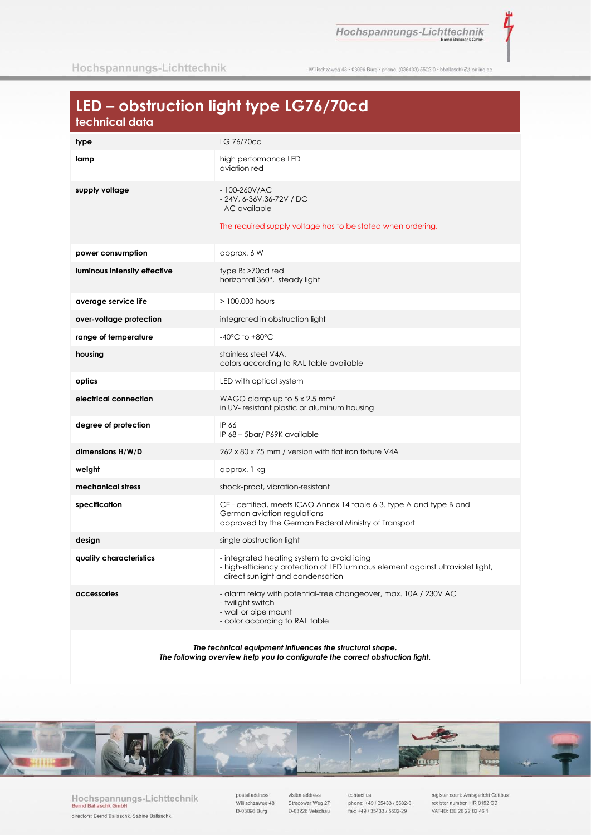Hochspannungs-Lichttechnik

ť

Willischzaweg 48 · 03096 Burg · phone. (035433) 5502-0 · bballaschk@t-online.de

# LED - obstruction light type LG76/70cd

| type                         | LG 76/70cd                                                                                                                                                        |
|------------------------------|-------------------------------------------------------------------------------------------------------------------------------------------------------------------|
| lamp                         | high performance LED<br>aviation red                                                                                                                              |
| supply voltage               | $-100 - 260$ V/AC<br>- 24V, 6-36V, 36-72V / DC<br>AC available<br>The required supply voltage has to be stated when ordering.                                     |
| power consumption            | approx. 6 W                                                                                                                                                       |
| luminous intensity effective | $type B: > 2$<br>horizontal 360°, steady light                                                                                                                    |
| average service life         | > 100,000 hours                                                                                                                                                   |
| over-voltage protection      | integrated in obstruction light                                                                                                                                   |
| range of temperature         | $-40^{\circ}$ C to $+80^{\circ}$ C                                                                                                                                |
| housing                      | stainless steel V4A,<br>colors according to RAL table available                                                                                                   |
| optics                       | LED with optical system                                                                                                                                           |
| electrical connection        | WAGO clamp up to $5 \times 2.5$ mm <sup>2</sup><br>in UV- resistant plastic or aluminum housing                                                                   |
| degree of protection         | IP 66<br>IP 68 - 5bar/IP69K available                                                                                                                             |
| dimensions H/W/D             | 262 x 80 x 75 mm / version with flat iron fixture V4A                                                                                                             |
| weight                       | approx. 1 kg                                                                                                                                                      |
| mechanical stress            | shock-proof, vibration-resistant                                                                                                                                  |
| specification                | CE - certified, meets ICAO Annex 14 table 6-3. type A and type B and<br>German aviation regulations<br>approved by the German Federal Ministry of Transport       |
| design                       | single obstruction light                                                                                                                                          |
| quality characteristics      | - integrated heating system to avoid icing<br>- high-efficiency protection of LED luminous element against ultraviolet light,<br>direct sunlight and condensation |
| accessories                  | - alarm relay with potential-free changeover, max. 10A / 230V AC<br>- twilight switch<br>- wall or pipe mount<br>- color according to RAL table                   |

The technical equipment influences the structural shape. The following overview help you to configurate the correct obstruction light.



Hochspannungs-Lichttechnik<br>Bernd Ballaschk GmbH directors: Bernd Ballaschk, Sabine Ballaschk

postal address Willischzaweg 48 D-03096 Burg

visitor address Stradower Weg 27 D-03226 Vetschau

contact us phone: +49 / 35433 / 5502-0 fax: +49 / 35433 / 5502-29

register court: Amtsgericht Cottbus<br>register number: HR 8152 CB VAT-ID: DE 26 22 82 46 1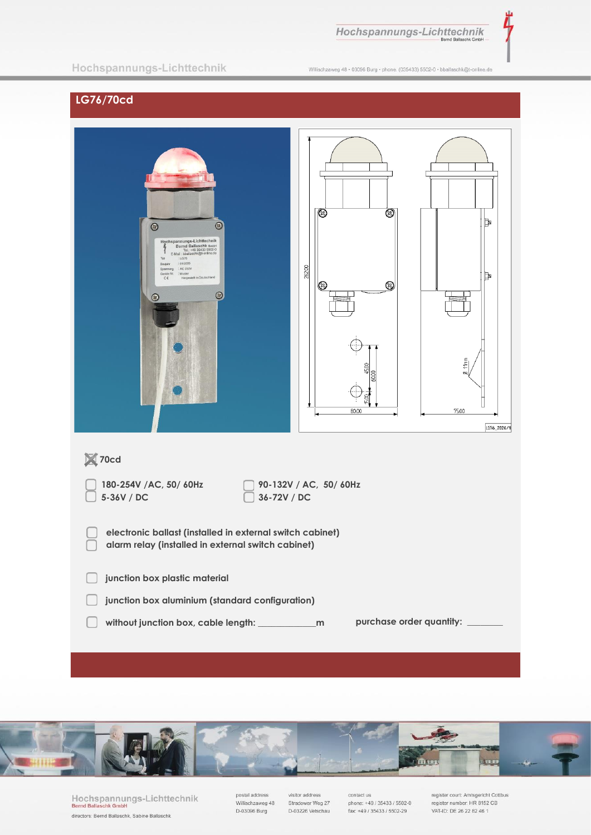Hochspannungs-Lichttechnik

Ì,

### Hochspannungs-Lichttechnik

Willischzaweg 48 · 03096 Burg · phone. (035433) 5502-0 · bballaschk@t-online.de

## LG76/70cd

| $\bigcirc$<br>$\circledcirc$<br>Hochspannungs-Lichttechnik<br>Bernd Ballaschk GmbH<br>Tel.: +49 35433 5502-0<br>E-Mail : bballaschk@t-online.de<br>: LG76<br>Typ<br>: 01/2020<br>Baujahr<br>Spannung : AC 230V<br>Geräte Nr. : Muster<br>Hergestellt in Deutschland<br>$\zeta \in$<br>$\circledcirc$<br>$\circ$ | ▧<br>⊗<br>26200<br>0<br>$\circledS$<br>80.00 | Þ<br>Щ<br>$\frac{1}{2}$<br>Ø<br>75.00<br>LG76_2020/1 |  |
|-----------------------------------------------------------------------------------------------------------------------------------------------------------------------------------------------------------------------------------------------------------------------------------------------------------------|----------------------------------------------|------------------------------------------------------|--|
| ×70cd                                                                                                                                                                                                                                                                                                           |                                              |                                                      |  |
| 90-132V / AC, 50/ 60Hz<br>180-254V /AC, 50/ 60Hz<br>5-36V / DC<br>36-72V / DC                                                                                                                                                                                                                                   |                                              |                                                      |  |
| electronic ballast (installed in external switch cabinet)<br>alarm relay (installed in external switch cabinet)                                                                                                                                                                                                 |                                              |                                                      |  |
| junction box plastic material                                                                                                                                                                                                                                                                                   |                                              |                                                      |  |
| junction box aluminium (standard configuration)                                                                                                                                                                                                                                                                 |                                              |                                                      |  |
| purchase order quantity:                                                                                                                                                                                                                                                                                        |                                              |                                                      |  |



Hochspannungs-Lichttechnik<br>Bernd Ballaschk GmbH directors: Bernd Ballaschk, Sabine Ballaschk

postal address<br>Willischzaweg 48 D-03096 Burg

visitor address Stradower Weg 27 D-03226 Vetschau

contact us<br>phone: +49 / 35433 / 5502-0 fax: +49 / 35433 / 5502-29

register court: Amtsgericht Cottbus<br>register number: HR 8152 CB VAT-ID: DE 26 22 82 46 1